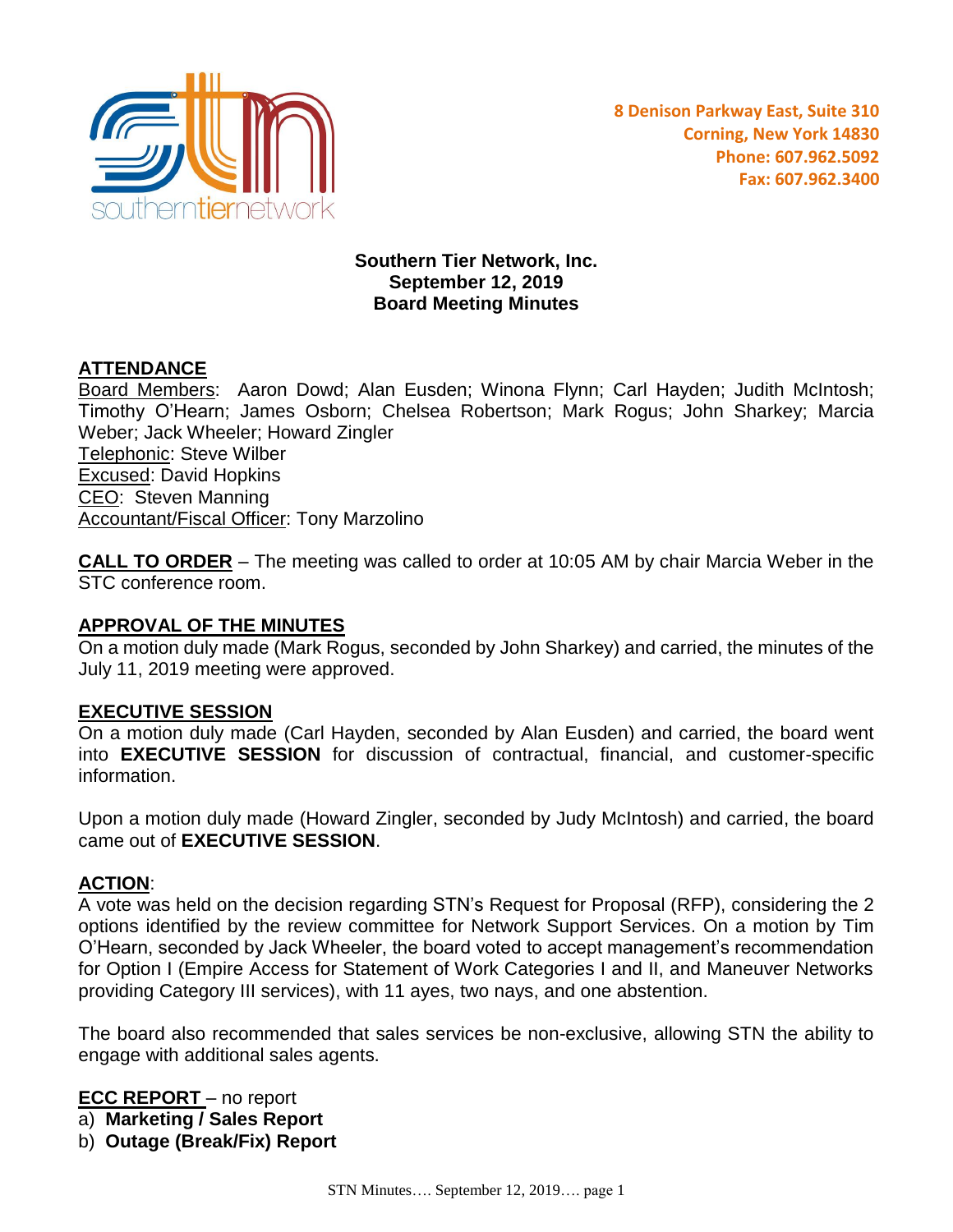

### **Southern Tier Network, Inc. September 12, 2019 Board Meeting Minutes**

# **ATTENDANCE**

Board Members: Aaron Dowd; Alan Eusden; Winona Flynn; Carl Hayden; Judith McIntosh; Timothy O'Hearn; James Osborn; Chelsea Robertson; Mark Rogus; John Sharkey; Marcia Weber; Jack Wheeler; Howard Zingler Telephonic: Steve Wilber Excused: David Hopkins CEO: Steven Manning **Accountant/Fiscal Officer: Tony Marzolino** 

**CALL TO ORDER** – The meeting was called to order at 10:05 AM by chair Marcia Weber in the STC conference room.

### **APPROVAL OF THE MINUTES**

On a motion duly made (Mark Rogus, seconded by John Sharkey) and carried, the minutes of the July 11, 2019 meeting were approved.

### **EXECUTIVE SESSION**

On a motion duly made (Carl Hayden, seconded by Alan Eusden) and carried, the board went into **EXECUTIVE SESSION** for discussion of contractual, financial, and customer-specific information.

Upon a motion duly made (Howard Zingler, seconded by Judy McIntosh) and carried, the board came out of **EXECUTIVE SESSION**.

### **ACTION**:

A vote was held on the decision regarding STN's Request for Proposal (RFP), considering the 2 options identified by the review committee for Network Support Services. On a motion by Tim O'Hearn, seconded by Jack Wheeler, the board voted to accept management's recommendation for Option I (Empire Access for Statement of Work Categories I and II, and Maneuver Networks providing Category III services), with 11 ayes, two nays, and one abstention.

The board also recommended that sales services be non-exclusive, allowing STN the ability to engage with additional sales agents.

**ECC REPORT** – no report

- a) **Marketing / Sales Report**
- b) **Outage (Break/Fix) Report**